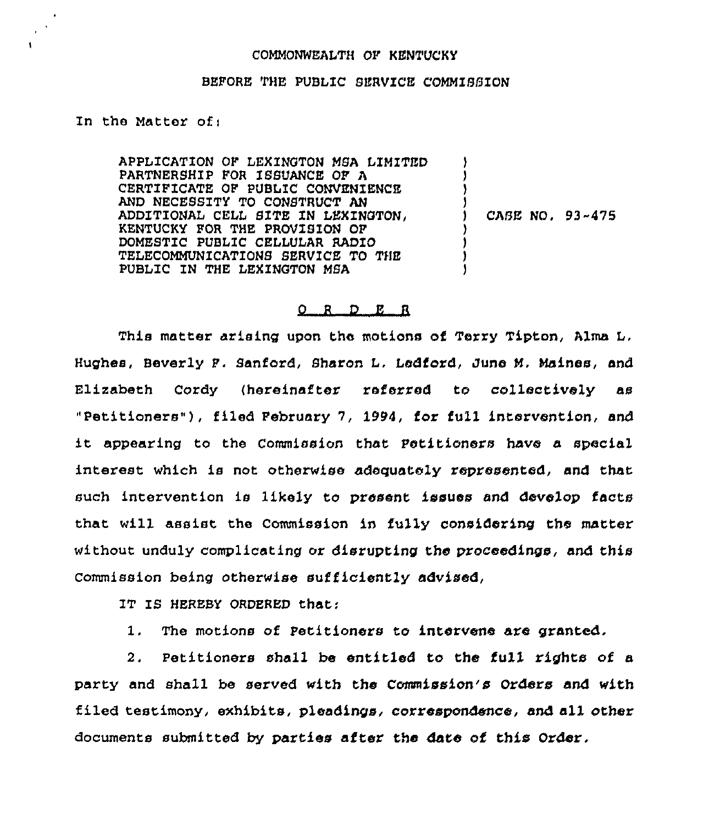## COMMONWEALTH OF KENTUCKY

## BEFORE THE PUBLIC SERVICE COMMISSION

## In the Matter ofi

APPLICATION OF LEXINGTON MSA LIMITED PARTNERSHIP FOR ISSUANCE OF A CERTIFICATE OF PUBLIC CONVENIENCE AND NECESSITY TO CONSTRUCT AN ADDITIONAL CELL SITE ZN LEXINGTON, KENTUCKY FOR THE PROVISION OP DOMESTIC PUBLIC CELLULAR RADIO TELECOMMUNICATIONS SERVICE TO THE PUBLIC IN THE LEKZNGTON MSA ) ) )  $\mathbf{1}$ ) CASE NO, 93-475 ) ) ) )

## 0 <sup>R</sup> D E <sup>R</sup>

This matter arising upon the motions of Terry Tipton, Alma L, Hughes, Beverly P. Sanford, Sharon L. Ledford, Juno M, Maines, and Elizabeth Cordy (hereinafter referred to collectively as "Petitioners"), filed February 7, 1994, for full intervention, and it appearing to the Commission that Petitioners have a special interest which is not otherwise adequately represented, and that such intervention is likely to present issues and develop facts that will assist the Commission in fully considering the matter without unduly complicating or disrupting the proceedings, and this Commission being otherwise sufficiently advised,

IT IS HEREBY ORDERED that;

1. The motions of Petitioners to intervene are granted.

2. Petitioners shall be entitled to the full rights of a party and shall be served with the Commission's Orders and with filed testimony, exhibits, pleadings, correspondence, and all other documents submitted by parties after the dare of this Order.